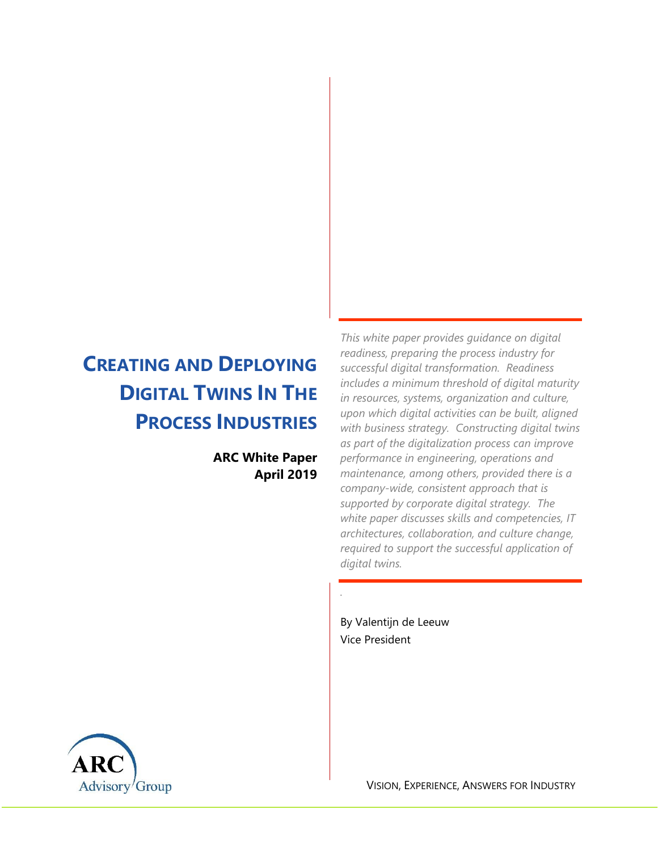# **CREATING AND DEPLOYING DIGITAL TWINS IN THE PROCESS INDUSTRIES**

**ARC White Paper April 2019**

*This white paper provides guidance on digital readiness, preparing the process industry for successful digital transformation. Readiness includes a minimum threshold of digital maturity in resources, systems, organization and culture, upon which digital activities can be built, aligned with business strategy. Constructing digital twins as part of the digitalization process can improve performance in engineering, operations and maintenance, among others, provided there is a company-wide, consistent approach that is supported by corporate digital strategy. The white paper discusses skills and competencies, IT architectures, collaboration, and culture change, required to support the successful application of digital twins.*

By Valentijn de Leeuw Vice President

*.*



VISION, EXPERIENCE, ANSWERS FOR INDUSTRY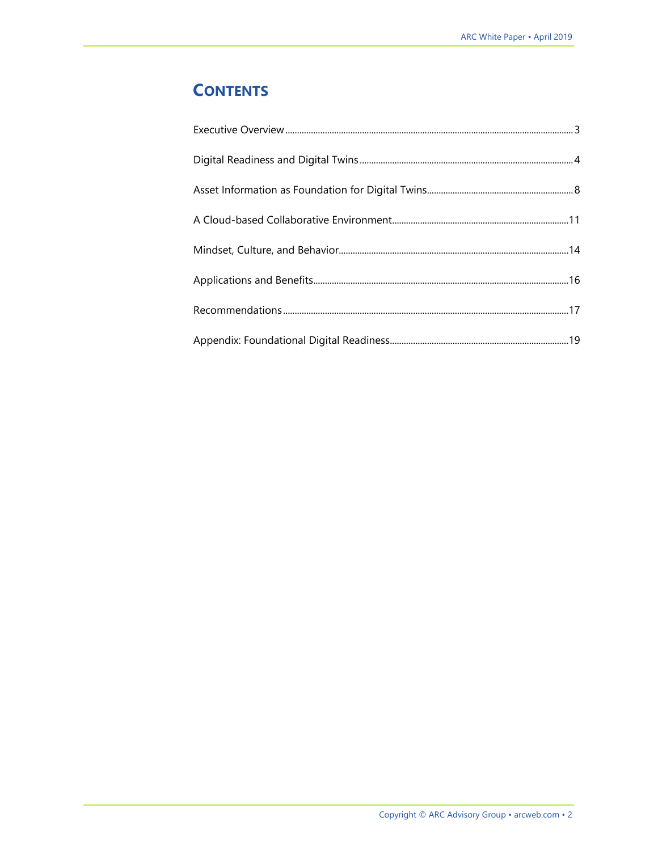## **CONTENTS**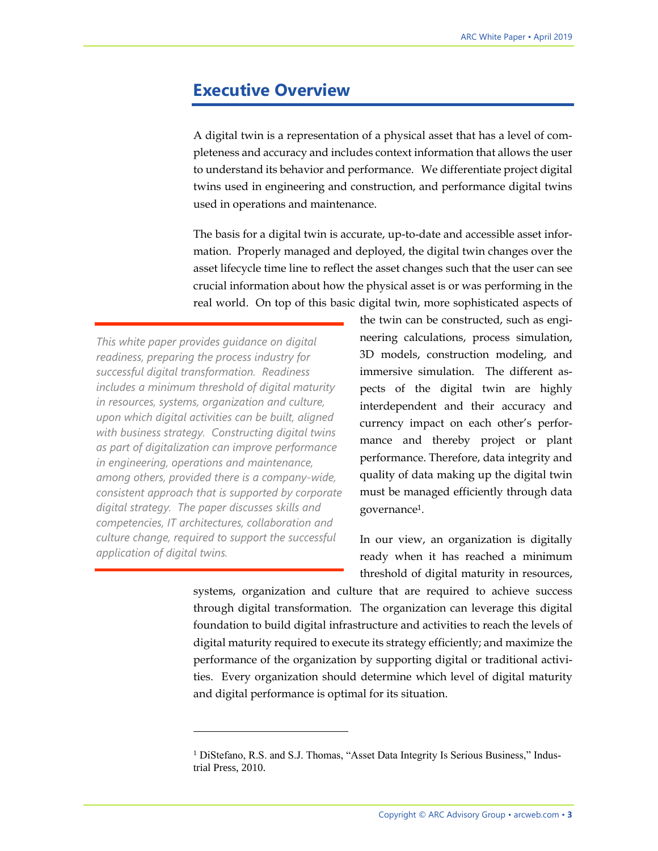### <span id="page-2-0"></span>**Executive Overview**

A digital twin is a representation of a physical asset that has a level of completeness and accuracy and includes context information that allows the user to understand its behavior and performance. We differentiate project digital twins used in engineering and construction, and performance digital twins used in operations and maintenance.

The basis for a digital twin is accurate, up-to-date and accessible asset information. Properly managed and deployed, the digital twin changes over the asset lifecycle time line to reflect the asset changes such that the user can see crucial information about how the physical asset is or was performing in the real world. On top of this basic digital twin, more sophisticated aspects of

*This white paper provides guidance on digital readiness, preparing the process industry for successful digital transformation. Readiness includes a minimum threshold of digital maturity in resources, systems, organization and culture, upon which digital activities can be built, aligned with business strategy. Constructing digital twins as part of digitalization can improve performance in engineering, operations and maintenance, among others, provided there is a company-wide, consistent approach that is supported by corporate digital strategy. The paper discusses skills and competencies, IT architectures, collaboration and culture change, required to support the successful application of digital twins.*

 $\overline{a}$ 

the twin can be constructed, such as engineering calculations, process simulation, 3D models, construction modeling, and immersive simulation. The different aspects of the digital twin are highly interdependent and their accuracy and currency impact on each other's performance and thereby project or plant performance. Therefore, data integrity and quality of data making up the digital twin must be managed efficiently through data governance1.

In our view, an organization is digitally ready when it has reached a minimum threshold of digital maturity in resources,

systems, organization and culture that are required to achieve success through digital transformation. The organization can leverage this digital foundation to build digital infrastructure and activities to reach the levels of digital maturity required to execute its strategy efficiently; and maximize the performance of the organization by supporting digital or traditional activities. Every organization should determine which level of digital maturity and digital performance is optimal for its situation.

<sup>&</sup>lt;sup>1</sup> DiStefano, R.S. and S.J. Thomas, "Asset Data Integrity Is Serious Business," Industrial Press, 2010.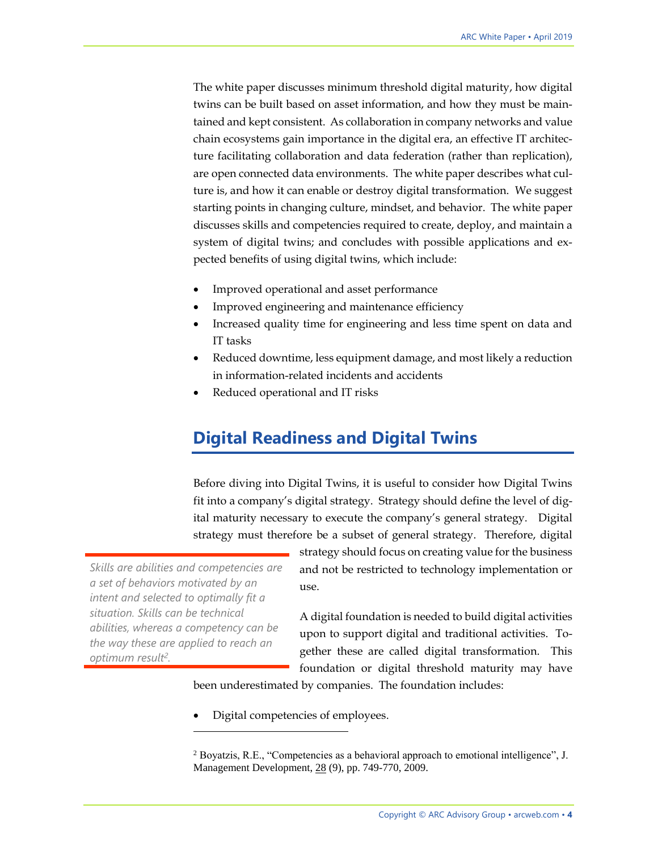The white paper discusses minimum threshold digital maturity, how digital twins can be built based on asset information, and how they must be maintained and kept consistent. As collaboration in company networks and value chain ecosystems gain importance in the digital era, an effective IT architecture facilitating collaboration and data federation (rather than replication), are open connected data environments. The white paper describes what culture is, and how it can enable or destroy digital transformation. We suggest starting points in changing culture, mindset, and behavior. The white paper discusses skills and competencies required to create, deploy, and maintain a system of digital twins; and concludes with possible applications and expected benefits of using digital twins, which include:

- Improved operational and asset performance
- Improved engineering and maintenance efficiency
- Increased quality time for engineering and less time spent on data and IT tasks
- Reduced downtime, less equipment damage, and most likely a reduction in information-related incidents and accidents
- <span id="page-3-0"></span>Reduced operational and IT risks

### **Digital Readiness and Digital Twins**

Before diving into Digital Twins, it is useful to consider how Digital Twins fit into a company's digital strategy. Strategy should define the level of digital maturity necessary to execute the company's general strategy. Digital strategy must therefore be a subset of general strategy. Therefore, digital

*Skills are abilities and competencies are a set of behaviors motivated by an intent and selected to optimally fit a situation. Skills can be technical abilities, whereas a competency can be the way these are applied to reach an optimum result<sup>2</sup> .* 

 $\overline{a}$ 

strategy should focus on creating value for the business and not be restricted to technology implementation or use.

A digital foundation is needed to build digital activities upon to support digital and traditional activities. Together these are called digital transformation. This foundation or digital threshold maturity may have

been underestimated by companies. The foundation includes:

• Digital competencies of employees.

<sup>&</sup>lt;sup>2</sup> Boyatzis, R.E., "Competencies as a behavioral approach to emotional intelligence", J. Management Development, 28 (9), pp. 749-770, 2009.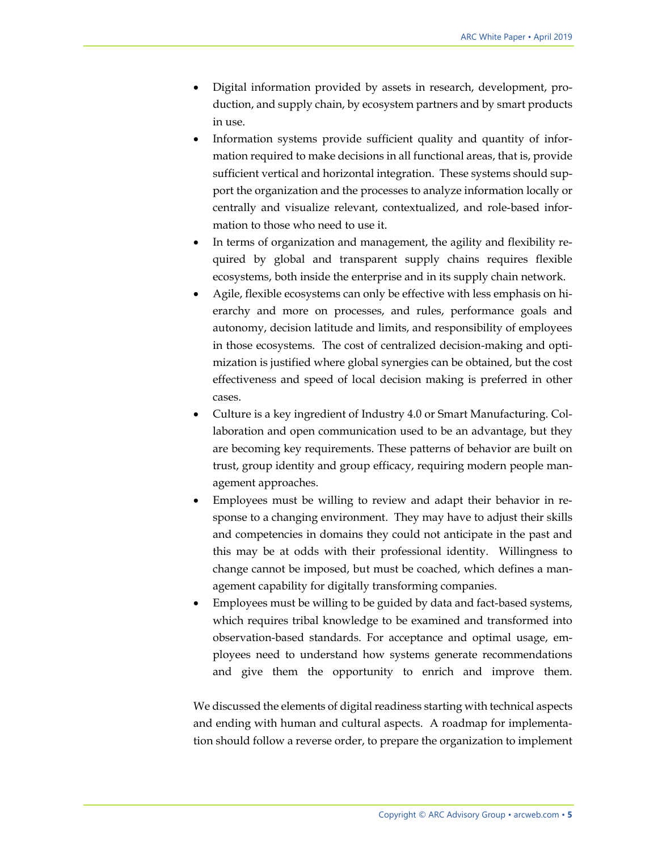- Digital information provided by assets in research, development, production, and supply chain, by ecosystem partners and by smart products in use.
- Information systems provide sufficient quality and quantity of information required to make decisions in all functional areas, that is, provide sufficient vertical and horizontal integration. These systems should support the organization and the processes to analyze information locally or centrally and visualize relevant, contextualized, and role-based information to those who need to use it.
- In terms of organization and management, the agility and flexibility required by global and transparent supply chains requires flexible ecosystems, both inside the enterprise and in its supply chain network.
- Agile, flexible ecosystems can only be effective with less emphasis on hierarchy and more on processes, and rules, performance goals and autonomy, decision latitude and limits, and responsibility of employees in those ecosystems. The cost of centralized decision-making and optimization is justified where global synergies can be obtained, but the cost effectiveness and speed of local decision making is preferred in other cases.
- Culture is a key ingredient of Industry 4.0 or Smart Manufacturing. Collaboration and open communication used to be an advantage, but they are becoming key requirements. These patterns of behavior are built on trust, group identity and group efficacy, requiring modern people management approaches.
- Employees must be willing to review and adapt their behavior in response to a changing environment. They may have to adjust their skills and competencies in domains they could not anticipate in the past and this may be at odds with their professional identity. Willingness to change cannot be imposed, but must be coached, which defines a management capability for digitally transforming companies.
- Employees must be willing to be guided by data and fact-based systems, which requires tribal knowledge to be examined and transformed into observation-based standards. For acceptance and optimal usage, employees need to understand how systems generate recommendations and give them the opportunity to enrich and improve them.

We discussed the elements of digital readiness starting with technical aspects and ending with human and cultural aspects. A roadmap for implementation should follow a reverse order, to prepare the organization to implement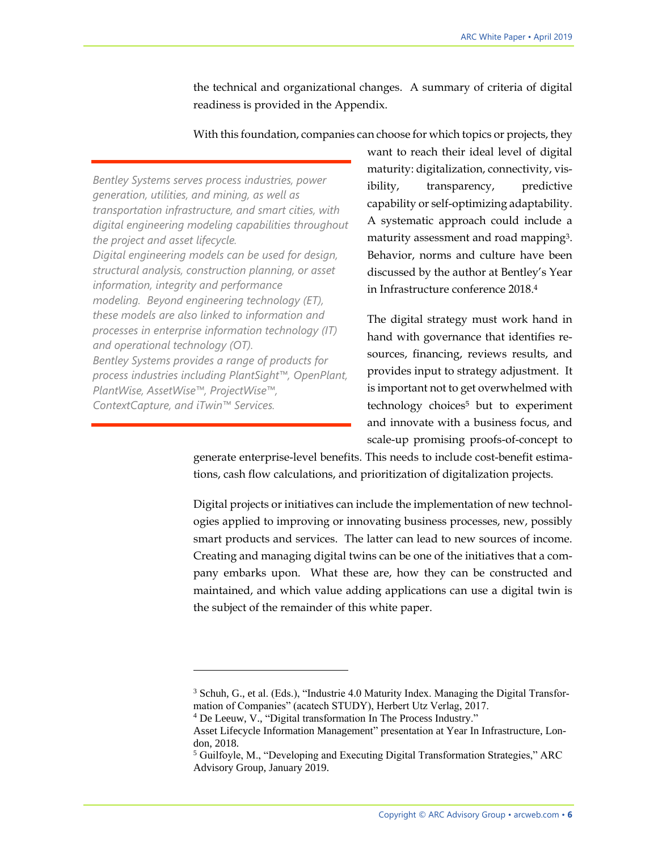the technical and organizational changes. A summary of criteria of digital readiness is provided in the Appendix.

With this foundation, companies can choose for which topics or projects, they

*Bentley Systems serves process industries, power generation, utilities, and mining, as well as transportation infrastructure, and smart cities, with digital engineering modeling capabilities throughout the project and asset lifecycle. Digital engineering models can be used for design, structural analysis, construction planning, or asset information, integrity and performance modeling. Beyond engineering technology (ET), these models are also linked to information and processes in enterprise information technology (IT) and operational technology (OT). Bentley Systems provides a range of products for process industries including PlantSight™, OpenPlant, PlantWise, AssetWise™, ProjectWise™, ContextCapture, and iTwin™ Services.*

 $\overline{a}$ 

want to reach their ideal level of digital maturity: digitalization, connectivity, visibility, transparency, predictive capability or self-optimizing adaptability. A systematic approach could include a maturity assessment and road mapping3. Behavior, norms and culture have been discussed by the author at Bentley's Year in Infrastructure conference 2018.<sup>4</sup>

The digital strategy must work hand in hand with governance that identifies resources, financing, reviews results, and provides input to strategy adjustment. It is important not to get overwhelmed with technology choices<sup>5</sup> but to experiment and innovate with a business focus, and scale-up promising proofs-of-concept to

generate enterprise-level benefits. This needs to include cost-benefit estimations, cash flow calculations, and prioritization of digitalization projects.

Digital projects or initiatives can include the implementation of new technologies applied to improving or innovating business processes, new, possibly smart products and services. The latter can lead to new sources of income. Creating and managing digital twins can be one of the initiatives that a company embarks upon. What these are, how they can be constructed and maintained, and which value adding applications can use a digital twin is the subject of the remainder of this white paper.

<sup>3</sup> Schuh, G., et al. (Eds.), "Industrie 4.0 Maturity Index. Managing the Digital Transformation of Companies" (acatech STUDY), Herbert Utz Verlag, 2017.

<sup>4</sup> De Leeuw, V., "Digital transformation In The Process Industry."

Asset Lifecycle Information Management" presentation at Year In Infrastructure, London, 2018.

<sup>5</sup> Guilfoyle, M., "Developing and Executing Digital Transformation Strategies," ARC Advisory Group, January 2019.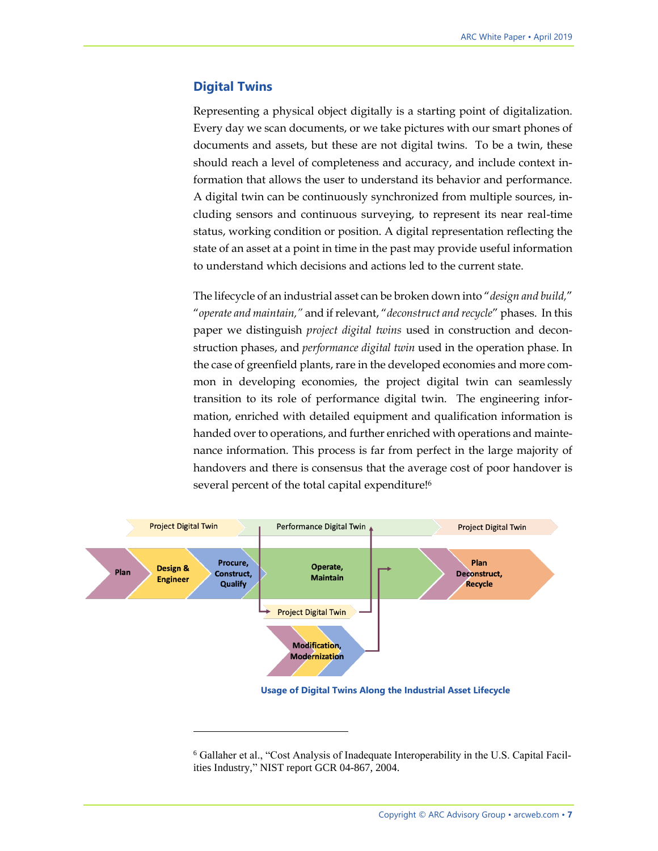#### **Digital Twins**

Representing a physical object digitally is a starting point of digitalization. Every day we scan documents, or we take pictures with our smart phones of documents and assets, but these are not digital twins. To be a twin, these should reach a level of completeness and accuracy, and include context information that allows the user to understand its behavior and performance. A digital twin can be continuously synchronized from multiple sources, including sensors and continuous surveying, to represent its near real-time status, working condition or position. A digital representation reflecting the state of an asset at a point in time in the past may provide useful information to understand which decisions and actions led to the current state.

The lifecycle of an industrial asset can be broken down into "*design and build,*" "*operate and maintain,"* and if relevant, "*deconstruct and recycle*" phases. In this paper we distinguish *project digital twins* used in construction and deconstruction phases, and *performance digital twin* used in the operation phase. In the case of greenfield plants, rare in the developed economies and more common in developing economies, the project digital twin can seamlessly transition to its role of performance digital twin. The engineering information, enriched with detailed equipment and qualification information is handed over to operations, and further enriched with operations and maintenance information. This process is far from perfect in the large majority of handovers and there is consensus that the average cost of poor handover is several percent of the total capital expenditure! 6



 $\overline{a}$ 

**Usage of Digital Twins Along the Industrial Asset Lifecycle**

<sup>6</sup> Gallaher et al., "Cost Analysis of Inadequate Interoperability in the U.S. Capital Facilities Industry," NIST report GCR 04-867, 2004.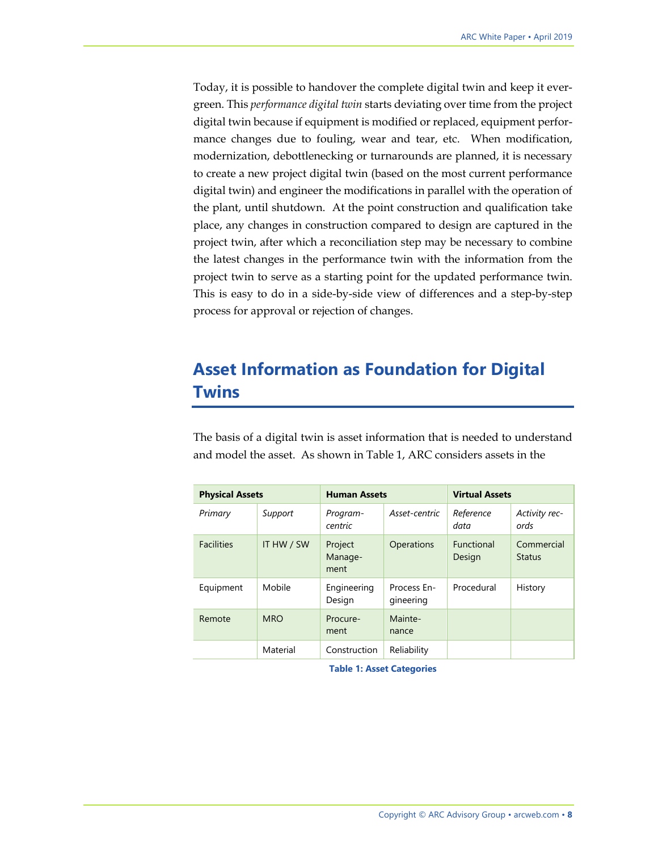Today, it is possible to handover the complete digital twin and keep it evergreen. This *performance digital twin* starts deviating over time from the project digital twin because if equipment is modified or replaced, equipment performance changes due to fouling, wear and tear, etc. When modification, modernization, debottlenecking or turnarounds are planned, it is necessary to create a new project digital twin (based on the most current performance digital twin) and engineer the modifications in parallel with the operation of the plant, until shutdown. At the point construction and qualification take place, any changes in construction compared to design are captured in the project twin, after which a reconciliation step may be necessary to combine the latest changes in the performance twin with the information from the project twin to serve as a starting point for the updated performance twin. This is easy to do in a side-by-side view of differences and a step-by-step process for approval or rejection of changes.

### <span id="page-7-0"></span>**Asset Information as Foundation for Digital Twins**

The basis of a digital twin is asset information that is needed to understand and model the asset. As shown in Table 1, ARC considers assets in the

| <b>Physical Assets</b> |            | <b>Human Assets</b>        |                          | <b>Virtual Assets</b>       |                             |
|------------------------|------------|----------------------------|--------------------------|-----------------------------|-----------------------------|
| Primary                | Support    | Program-<br>centric        | Asset-centric            | Reference<br>data           | Activity rec-<br>ords       |
| <b>Facilities</b>      | IT HW / SW | Project<br>Manage-<br>ment | Operations               | <b>Functional</b><br>Design | Commercial<br><b>Status</b> |
| Equipment              | Mobile     | Engineering<br>Design      | Process En-<br>gineering | Procedural                  | History                     |
| Remote                 | <b>MRO</b> | Procure-<br>ment           | Mainte-<br>nance         |                             |                             |
|                        | Material   | Construction               | Reliability              |                             |                             |

**Table 1: Asset Categories**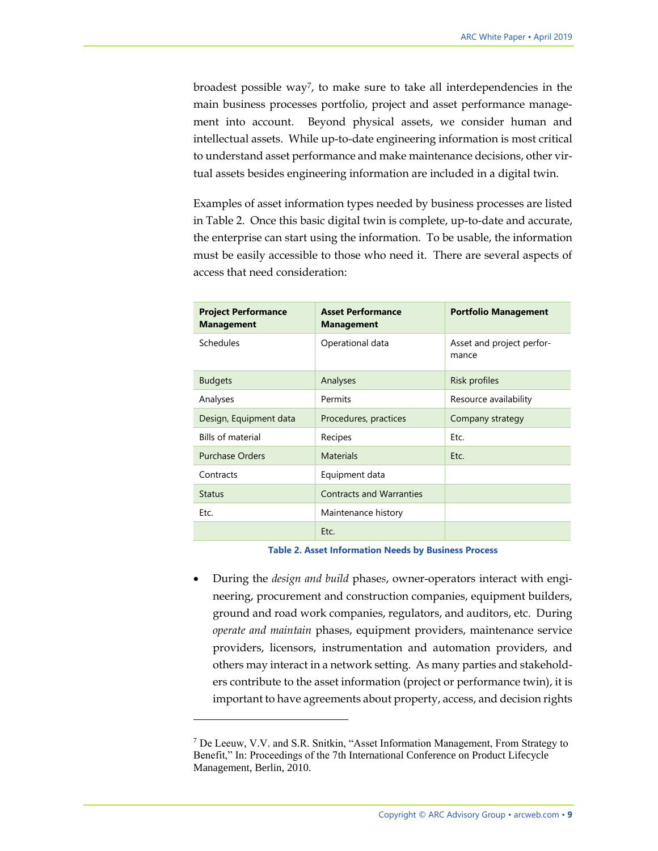broadest possible way7, to make sure to take all interdependencies in the main business processes portfolio, project and asset performance management into account. Beyond physical assets, we consider human and intellectual assets. While up-to-date engineering information is most critical to understand asset performance and make maintenance decisions, other virtual assets besides engineering information are included in a digital twin.

Examples of asset information types needed by business processes are listed in Table 2. Once this basic digital twin is complete, up-to-date and accurate, the enterprise can start using the information. To be usable, the information must be easily accessible to those who need it. There are several aspects of access that need consideration:

| <b>Project Performance</b><br><b>Management</b> | <b>Asset Performance</b><br><b>Management</b> | <b>Portfolio Management</b>        |
|-------------------------------------------------|-----------------------------------------------|------------------------------------|
| Schedules                                       | Operational data                              | Asset and project perfor-<br>mance |
| <b>Budgets</b>                                  | Analyses                                      | Risk profiles                      |
| Analyses                                        | Permits                                       | Resource availability              |
| Design, Equipment data                          | Procedures, practices                         | Company strategy                   |
| <b>Bills of material</b>                        | Recipes                                       | Etc.                               |
| <b>Purchase Orders</b>                          | <b>Materials</b>                              | Etc.                               |
| Contracts                                       | Equipment data                                |                                    |
| <b>Status</b>                                   | <b>Contracts and Warranties</b>               |                                    |
| Etc.                                            | Maintenance history                           |                                    |
|                                                 | Etc.                                          |                                    |

#### **Table 2. Asset Information Needs by Business Process**

• During the *design and build* phase*s*, owner-operators interact with engineering, procurement and construction companies, equipment builders, ground and road work companies, regulators, and auditors, etc. During *operate and maintain* phases, equipment providers, maintenance service providers, licensors, instrumentation and automation providers, and others may interact in a network setting. As many parties and stakeholders contribute to the asset information (project or performance twin), it is important to have agreements about property, access, and decision rights

<sup>7</sup> De Leeuw, V.V. and S.R. Snitkin, "Asset Information Management, From Strategy to Benefit," In: Proceedings of the 7th International Conference on Product Lifecycle Management, Berlin, 2010.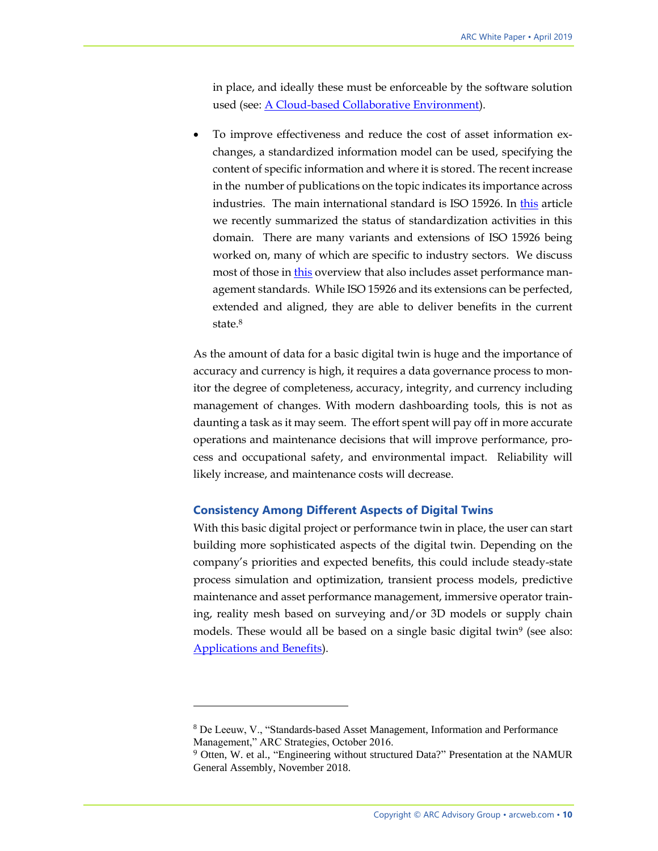in place, and ideally these must be enforceable by the software solution used (see: [A Cloud-based Collaborative Environment\)](#page-10-0).

• To improve effectiveness and reduce the cost of asset information exchanges, a standardized information model can be used, specifying the content of specific information and where it is stored. The recent increase in the number of publications on the topic indicates its importance across industries. The main international standard is ISO 15926. In [this](https://www.arcweb.com/blog/information-modeling-process-industries) article we recently summarized the status of standardization activities in this domain. There are many variants and extensions of ISO 15926 being worked on, many of which are specific to industry sectors. We discuss most of those in [this](https://www.arcweb.com/system/files/reports/2016/Standards-Based%20Asset%2C%20Information%2C%20and%20Performance%20Management.pdf) overview that also includes asset performance management standards. While ISO 15926 and its extensions can be perfected, extended and aligned, they are able to deliver benefits in the current state.<sup>8</sup>

As the amount of data for a basic digital twin is huge and the importance of accuracy and currency is high, it requires a data governance process to monitor the degree of completeness, accuracy, integrity, and currency including management of changes. With modern dashboarding tools, this is not as daunting a task as it may seem. The effort spent will pay off in more accurate operations and maintenance decisions that will improve performance, process and occupational safety, and environmental impact. Reliability will likely increase, and maintenance costs will decrease.

#### **Consistency Among Different Aspects of Digital Twins**

 $\overline{a}$ 

With this basic digital project or performance twin in place, the user can start building more sophisticated aspects of the digital twin. Depending on the company's priorities and expected benefits, this could include steady-state process simulation and optimization, transient process models, predictive maintenance and asset performance management, immersive operator training, reality mesh based on surveying and/or 3D models or supply chain models. These would all be based on a single basic digital twin<sup>9</sup> (see also: [Applications and Benefits\)](#page-13-0).

<sup>8</sup> De Leeuw, V., "Standards-based Asset Management, Information and Performance Management," ARC Strategies, October 2016.

<sup>9</sup> Otten, W. et al., "Engineering without structured Data?" Presentation at the NAMUR General Assembly, November 2018.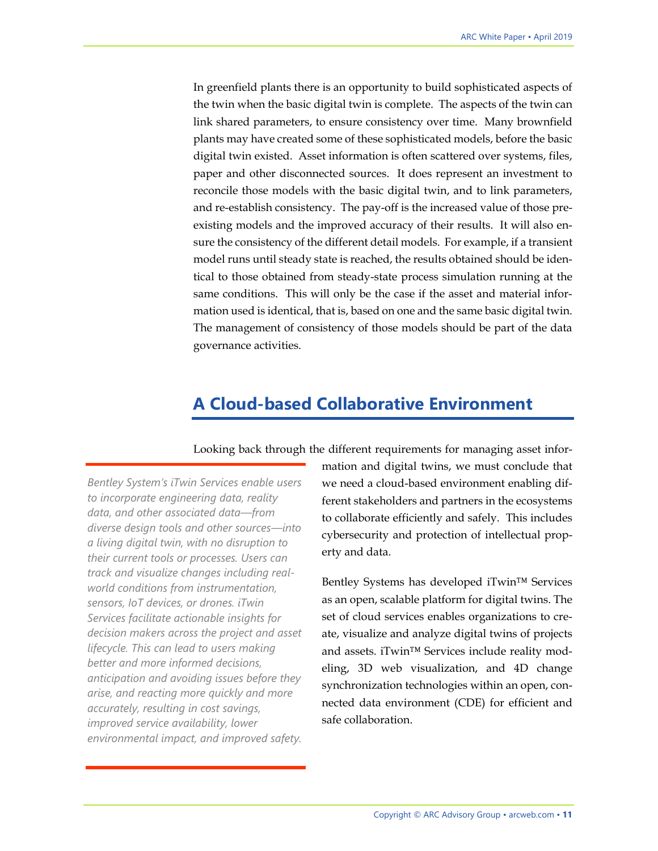In greenfield plants there is an opportunity to build sophisticated aspects of the twin when the basic digital twin is complete. The aspects of the twin can link shared parameters, to ensure consistency over time. Many brownfield plants may have created some of these sophisticated models, before the basic digital twin existed. Asset information is often scattered over systems, files, paper and other disconnected sources. It does represent an investment to reconcile those models with the basic digital twin, and to link parameters, and re-establish consistency. The pay-off is the increased value of those preexisting models and the improved accuracy of their results. It will also ensure the consistency of the different detail models. For example, if a transient model runs until steady state is reached, the results obtained should be identical to those obtained from steady-state process simulation running at the same conditions. This will only be the case if the asset and material information used is identical, that is, based on one and the same basic digital twin. The management of consistency of those models should be part of the data governance activities.

### <span id="page-10-0"></span>**A Cloud-based Collaborative Environment**

Looking back through the different requirements for managing asset infor-

*Bentley System's iTwin Services enable users to incorporate engineering data, reality data, and other associated data—from diverse design tools and other sources—into a living digital twin, with no disruption to their current tools or processes. Users can track and visualize changes including realworld conditions from instrumentation, sensors, IoT devices, or drones. iTwin Services facilitate actionable insights for decision makers across the project and asset lifecycle. This can lead to users making better and more informed decisions, anticipation and avoiding issues before they arise, and reacting more quickly and more accurately, resulting in cost savings, improved service availability, lower environmental impact, and improved safety.*

mation and digital twins, we must conclude that we need a cloud-based environment enabling different stakeholders and partners in the ecosystems to collaborate efficiently and safely. This includes cybersecurity and protection of intellectual property and data.

Bentley Systems has developed iTwin™ Services as an open, scalable platform for digital twins. The set of cloud services enables organizations to create, visualize and analyze digital twins of projects and assets. iTwin™ Services include reality modeling, 3D web visualization, and 4D change synchronization technologies within an open, connected data environment (CDE) for efficient and safe collaboration.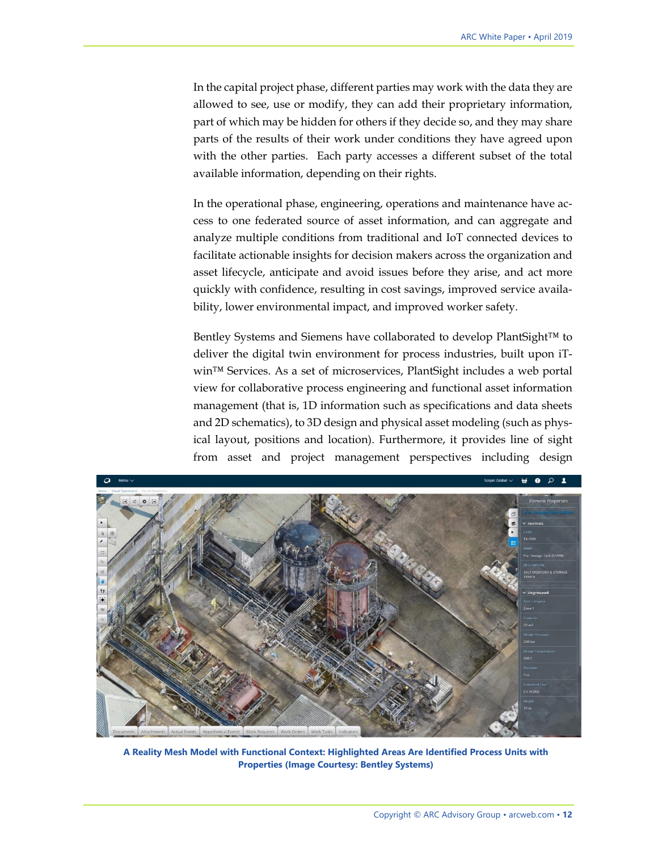In the capital project phase, different parties may work with the data they are allowed to see, use or modify, they can add their proprietary information, part of which may be hidden for others if they decide so, and they may share parts of the results of their work under conditions they have agreed upon with the other parties. Each party accesses a different subset of the total available information, depending on their rights.

In the operational phase, engineering, operations and maintenance have access to one federated source of asset information, and can aggregate and analyze multiple conditions from traditional and IoT connected devices to facilitate actionable insights for decision makers across the organization and asset lifecycle, anticipate and avoid issues before they arise, and act more quickly with confidence, resulting in cost savings, improved service availability, lower environmental impact, and improved worker safety.

Bentley Systems and Siemens have collaborated to develop PlantSight™ to deliver the digital twin environment for process industries, built upon iTwin™ Services. As a set of microservices, PlantSight includes a web portal view for collaborative process engineering and functional asset information management (that is, 1D information such as specifications and data sheets and 2D schematics), to 3D design and physical asset modeling (such as physical layout, positions and location). Furthermore, it provides line of sight from asset and project management perspectives including design



**A Reality Mesh Model with Functional Context: Highlighted Areas Are Identified Process Units with Properties (Image Courtesy: Bentley Systems)**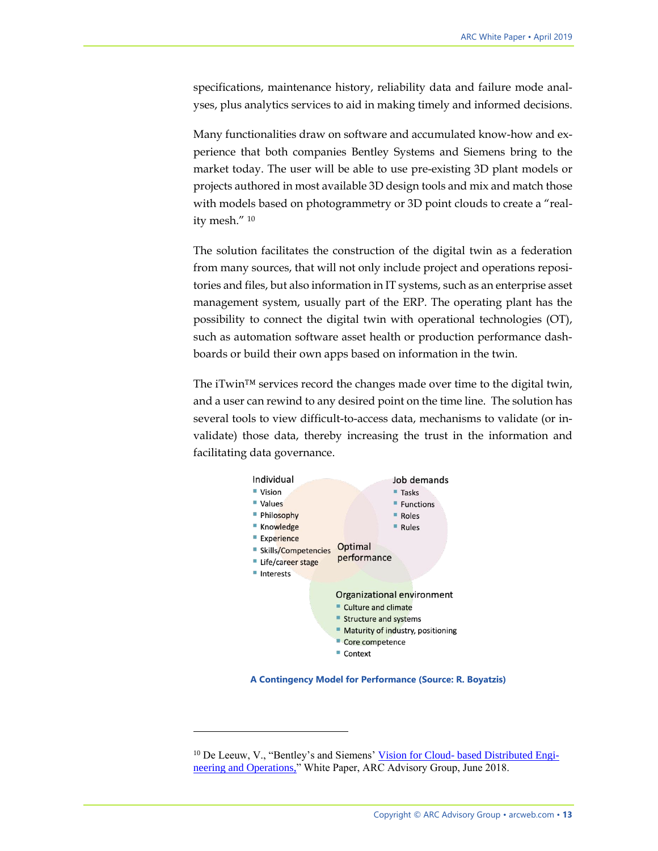specifications, maintenance history, reliability data and failure mode analyses, plus analytics services to aid in making timely and informed decisions.

Many functionalities draw on software and accumulated know-how and experience that both companies Bentley Systems and Siemens bring to the market today. The user will be able to use pre-existing 3D plant models or projects authored in most available 3D design tools and mix and match those with models based on photogrammetry or 3D point clouds to create a "reality mesh." <sup>10</sup>

The solution facilitates the construction of the digital twin as a federation from many sources, that will not only include project and operations repositories and files, but also information in IT systems, such as an enterprise asset management system, usually part of the ERP. The operating plant has the possibility to connect the digital twin with operational technologies (OT), such as automation software asset health or production performance dashboards or build their own apps based on information in the twin.

The iTwin™ services record the changes made over time to the digital twin, and a user can rewind to any desired point on the time line. The solution has several tools to view difficult-to-access data, mechanisms to validate (or invalidate) those data, thereby increasing the trust in the information and facilitating data governance.



**A Contingency Model for Performance (Source: R. Boyatzis)**

<sup>&</sup>lt;sup>10</sup> De Leeuw, V., "Bentley's and Siemens' Vision for Cloud- [based Distributed Engi](https://bit.ly/2LFtdwk.)[neering and Operations,"](https://bit.ly/2LFtdwk.) White Paper, ARC Advisory Group, June 2018.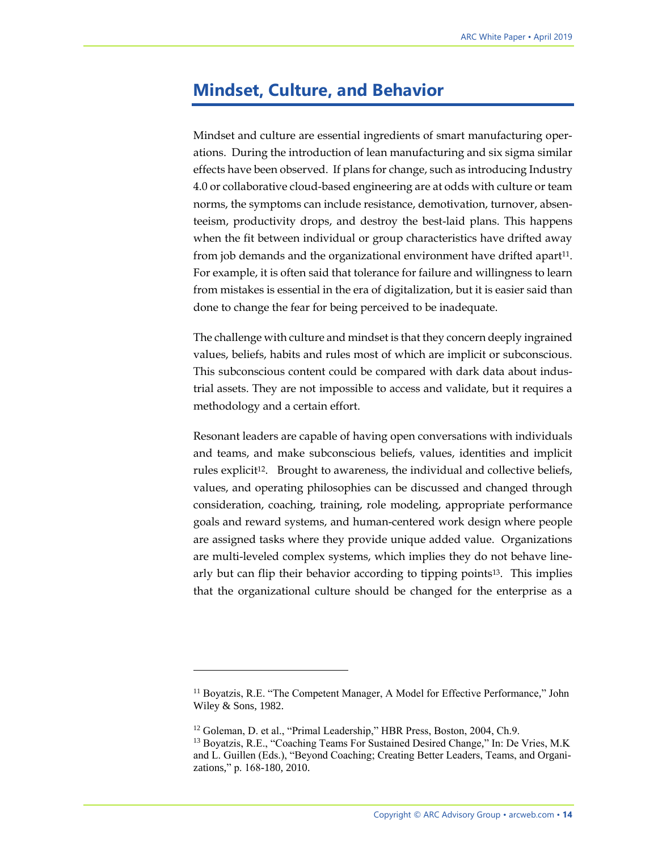#### <span id="page-13-0"></span>**Mindset, Culture, and Behavior**

Mindset and culture are essential ingredients of smart manufacturing operations. During the introduction of lean manufacturing and six sigma similar effects have been observed. If plans for change, such as introducing Industry 4.0 or collaborative cloud-based engineering are at odds with culture or team norms, the symptoms can include resistance, demotivation, turnover, absenteeism, productivity drops, and destroy the best-laid plans. This happens when the fit between individual or group characteristics have drifted away from job demands and the organizational environment have drifted apart<sup>11</sup>. For example, it is often said that tolerance for failure and willingness to learn from mistakes is essential in the era of digitalization, but it is easier said than done to change the fear for being perceived to be inadequate.

The challenge with culture and mindset is that they concern deeply ingrained values, beliefs, habits and rules most of which are implicit or subconscious. This subconscious content could be compared with dark data about industrial assets. They are not impossible to access and validate, but it requires a methodology and a certain effort.

Resonant leaders are capable of having open conversations with individuals and teams, and make subconscious beliefs, values, identities and implicit rules explicit<sup>12</sup>. Brought to awareness, the individual and collective beliefs, values, and operating philosophies can be discussed and changed through consideration, coaching, training, role modeling, appropriate performance goals and reward systems, and human-centered work design where people are assigned tasks where they provide unique added value. Organizations are multi-leveled complex systems, which implies they do not behave linearly but can flip their behavior according to tipping points13. This implies that the organizational culture should be changed for the enterprise as a

<sup>11</sup> Boyatzis, R.E. "The Competent Manager, A Model for Effective Performance," John Wiley & Sons, 1982.

<sup>&</sup>lt;sup>12</sup> Goleman, D. et al., "Primal Leadership," HBR Press, Boston, 2004, Ch.9.

<sup>&</sup>lt;sup>13</sup> Boyatzis, R.E., "Coaching Teams For Sustained Desired Change," In: De Vries, M.K and L. Guillen (Eds.), "Beyond Coaching; Creating Better Leaders, Teams, and Organizations," p. 168-180, 2010.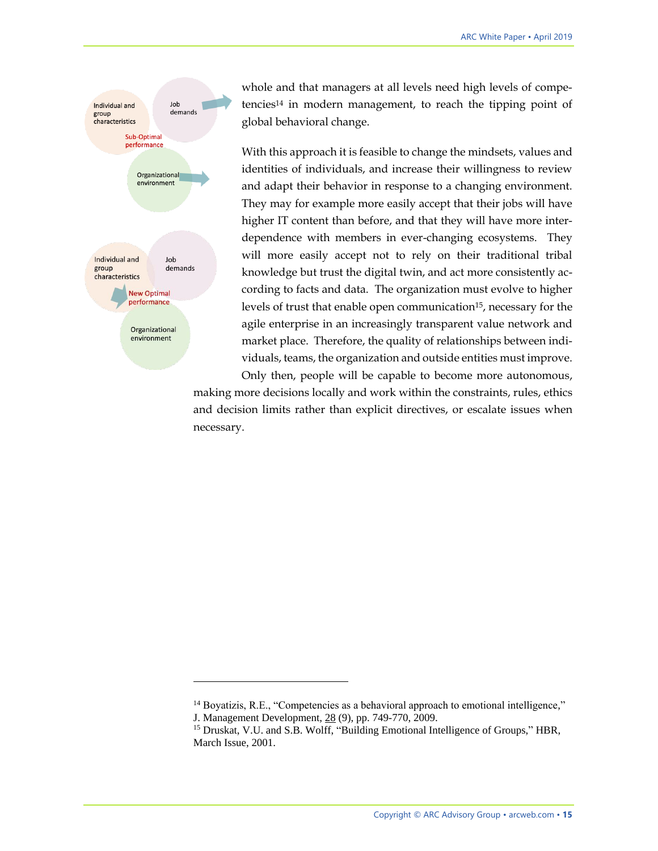

whole and that managers at all levels need high levels of competencies<sup>14</sup> in modern management, to reach the tipping point of global behavioral change.

With this approach it is feasible to change the mindsets, values and identities of individuals, and increase their willingness to review and adapt their behavior in response to a changing environment. They may for example more easily accept that their jobs will have higher IT content than before, and that they will have more interdependence with members in ever-changing ecosystems. They will more easily accept not to rely on their traditional tribal knowledge but trust the digital twin, and act more consistently according to facts and data. The organization must evolve to higher levels of trust that enable open communication15, necessary for the agile enterprise in an increasingly transparent value network and market place. Therefore, the quality of relationships between individuals, teams, the organization and outside entities must improve. Only then, people will be capable to become more autonomous,

making more decisions locally and work within the constraints, rules, ethics and decision limits rather than explicit directives, or escalate issues when necessary.

<sup>&</sup>lt;sup>14</sup> Boyatizis, R.E., "Competencies as a behavioral approach to emotional intelligence,"

J. Management Development, 28 (9), pp. 749-770, 2009.

<sup>&</sup>lt;sup>15</sup> Druskat, V.U. and S.B. Wolff, "Building Emotional Intelligence of Groups," HBR, March Issue, 2001.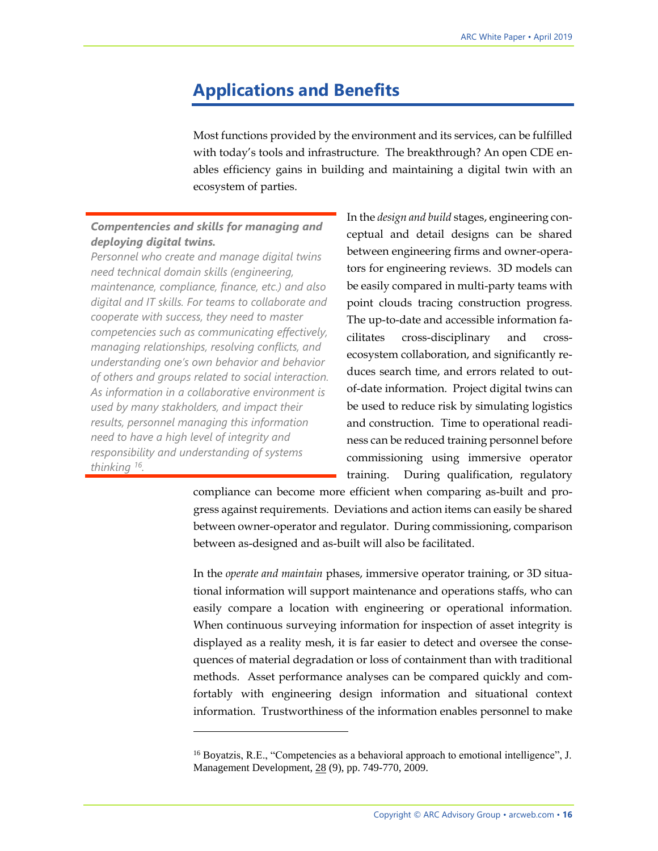### <span id="page-15-0"></span>**Applications and Benefits**

Most functions provided by the environment and its services, can be fulfilled with today's tools and infrastructure. The breakthrough? An open CDE enables efficiency gains in building and maintaining a digital twin with an ecosystem of parties.

#### *Compentencies and skills for managing and deploying digital twins.*

*Personnel who create and manage digital twins need technical domain skills (engineering, maintenance, compliance, finance, etc.) and also digital and IT skills. For teams to collaborate and cooperate with success, they need to master competencies such as communicating effectively, managing relationships, resolving conflicts, and understanding one's own behavior and behavior of others and groups related to social interaction. As information in a collaborative environment is used by many stakholders, and impact their results, personnel managing this information need to have a high level of integrity and responsibility and understanding of systems thinking <sup>16</sup> .* 

 $\overline{a}$ 

In the *design and build* stages, engineering conceptual and detail designs can be shared between engineering firms and owner-operators for engineering reviews. 3D models can be easily compared in multi-party teams with point clouds tracing construction progress. The up-to-date and accessible information facilitates cross-disciplinary and crossecosystem collaboration, and significantly reduces search time, and errors related to outof-date information. Project digital twins can be used to reduce risk by simulating logistics and construction. Time to operational readiness can be reduced training personnel before commissioning using immersive operator training. During qualification, regulatory

compliance can become more efficient when comparing as-built and progress against requirements. Deviations and action items can easily be shared between owner-operator and regulator. During commissioning, comparison between as-designed and as-built will also be facilitated.

In the *operate and maintain* phases, immersive operator training, or 3D situational information will support maintenance and operations staffs, who can easily compare a location with engineering or operational information. When continuous surveying information for inspection of asset integrity is displayed as a reality mesh, it is far easier to detect and oversee the consequences of material degradation or loss of containment than with traditional methods. Asset performance analyses can be compared quickly and comfortably with engineering design information and situational context information. Trustworthiness of the information enables personnel to make

<sup>&</sup>lt;sup>16</sup> Boyatzis, R.E., "Competencies as a behavioral approach to emotional intelligence", J. Management Development, 28 (9), pp. 749-770, 2009.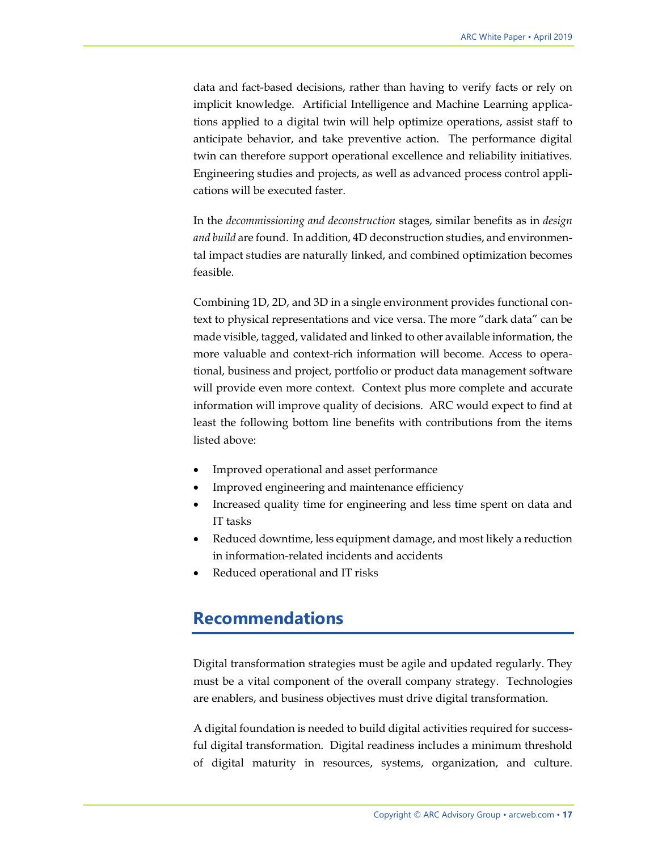data and fact-based decisions, rather than having to verify facts or rely on implicit knowledge. Artificial Intelligence and Machine Learning applications applied to a digital twin will help optimize operations, assist staff to anticipate behavior, and take preventive action. The performance digital twin can therefore support operational excellence and reliability initiatives. Engineering studies and projects, as well as advanced process control applications will be executed faster.

In the *decommissioning and deconstruction* stages, similar benefits as in *design and build* are found. In addition, 4D deconstruction studies, and environmental impact studies are naturally linked, and combined optimization becomes feasible.

Combining 1D, 2D, and 3D in a single environment provides functional context to physical representations and vice versa. The more "dark data" can be made visible, tagged, validated and linked to other available information, the more valuable and context-rich information will become. Access to operational, business and project, portfolio or product data management software will provide even more context. Context plus more complete and accurate information will improve quality of decisions. ARC would expect to find at least the following bottom line benefits with contributions from the items listed above:

- Improved operational and asset performance
- Improved engineering and maintenance efficiency
- Increased quality time for engineering and less time spent on data and IT tasks
- Reduced downtime, less equipment damage, and most likely a reduction in information-related incidents and accidents
- <span id="page-16-0"></span>• Reduced operational and IT risks

### **Recommendations**

Digital transformation strategies must be agile and updated regularly. They must be a vital component of the overall company strategy. Technologies are enablers, and business objectives must drive digital transformation.

A digital foundation is needed to build digital activities required for successful digital transformation. Digital readiness includes a minimum threshold of digital maturity in resources, systems, organization, and culture.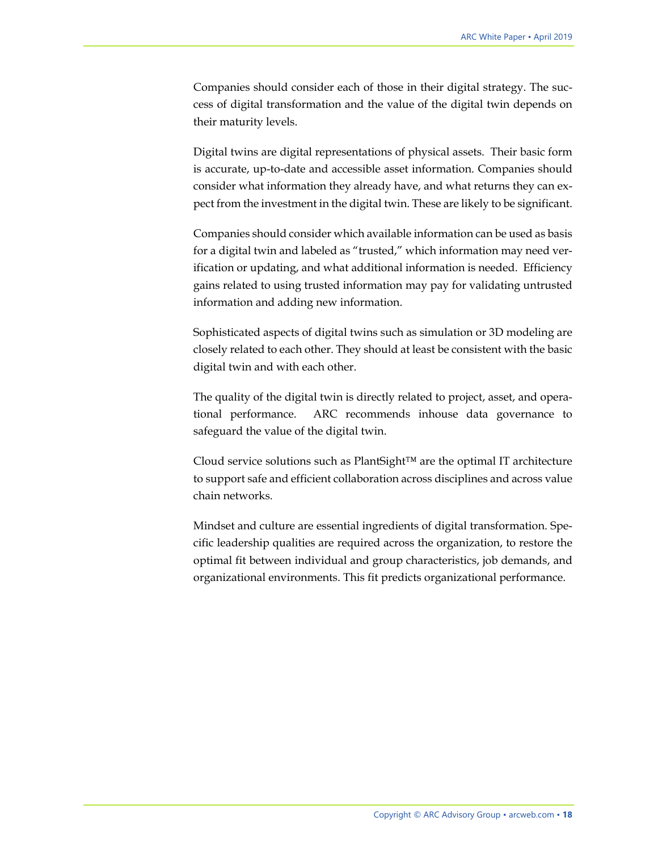Companies should consider each of those in their digital strategy. The success of digital transformation and the value of the digital twin depends on their maturity levels.

Digital twins are digital representations of physical assets. Their basic form is accurate, up-to-date and accessible asset information. Companies should consider what information they already have, and what returns they can expect from the investment in the digital twin. These are likely to be significant.

Companies should consider which available information can be used as basis for a digital twin and labeled as "trusted," which information may need verification or updating, and what additional information is needed. Efficiency gains related to using trusted information may pay for validating untrusted information and adding new information.

Sophisticated aspects of digital twins such as simulation or 3D modeling are closely related to each other. They should at least be consistent with the basic digital twin and with each other.

The quality of the digital twin is directly related to project, asset, and operational performance. ARC recommends inhouse data governance to safeguard the value of the digital twin.

Cloud service solutions such as PlantSight™ are the optimal IT architecture to support safe and efficient collaboration across disciplines and across value chain networks.

Mindset and culture are essential ingredients of digital transformation. Specific leadership qualities are required across the organization, to restore the optimal fit between individual and group characteristics, job demands, and organizational environments. This fit predicts organizational performance.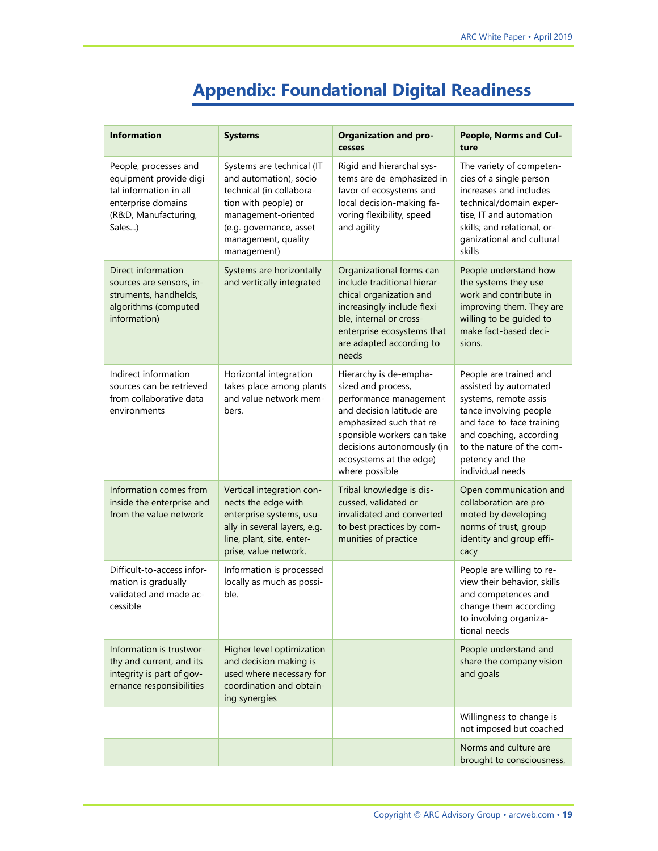## <span id="page-18-0"></span>**Appendix: Foundational Digital Readiness**

| <b>Information</b>                                                                                                                 | <b>Systems</b>                                                                                                                                                                                   | <b>Organization and pro-</b><br>cesses                                                                                                                                                                                                   | People, Norms and Cul-<br>ture                                                                                                                                                                                                  |
|------------------------------------------------------------------------------------------------------------------------------------|--------------------------------------------------------------------------------------------------------------------------------------------------------------------------------------------------|------------------------------------------------------------------------------------------------------------------------------------------------------------------------------------------------------------------------------------------|---------------------------------------------------------------------------------------------------------------------------------------------------------------------------------------------------------------------------------|
| People, processes and<br>equipment provide digi-<br>tal information in all<br>enterprise domains<br>(R&D, Manufacturing,<br>Sales) | Systems are technical (IT<br>and automation), socio-<br>technical (in collabora-<br>tion with people) or<br>management-oriented<br>(e.g. governance, asset<br>management, quality<br>management) | Rigid and hierarchal sys-<br>tems are de-emphasized in<br>favor of ecosystems and<br>local decision-making fa-<br>voring flexibility, speed<br>and agility                                                                               | The variety of competen-<br>cies of a single person<br>increases and includes<br>technical/domain exper-<br>tise, IT and automation<br>skills; and relational, or-<br>ganizational and cultural<br>skills                       |
| Direct information<br>sources are sensors, in-<br>struments, handhelds,<br>algorithms (computed<br>information)                    | Systems are horizontally<br>and vertically integrated                                                                                                                                            | Organizational forms can<br>include traditional hierar-<br>chical organization and<br>increasingly include flexi-<br>ble, internal or cross-<br>enterprise ecosystems that<br>are adapted according to<br>needs                          | People understand how<br>the systems they use<br>work and contribute in<br>improving them. They are<br>willing to be guided to<br>make fact-based deci-<br>sions.                                                               |
| Indirect information<br>sources can be retrieved<br>from collaborative data<br>environments                                        | Horizontal integration<br>takes place among plants<br>and value network mem-<br>bers.                                                                                                            | Hierarchy is de-empha-<br>sized and process,<br>performance management<br>and decision latitude are<br>emphasized such that re-<br>sponsible workers can take<br>decisions autonomously (in<br>ecosystems at the edge)<br>where possible | People are trained and<br>assisted by automated<br>systems, remote assis-<br>tance involving people<br>and face-to-face training<br>and coaching, according<br>to the nature of the com-<br>petency and the<br>individual needs |
| Information comes from<br>inside the enterprise and<br>from the value network                                                      | Vertical integration con-<br>nects the edge with<br>enterprise systems, usu-<br>ally in several layers, e.g.<br>line, plant, site, enter-<br>prise, value network.                               | Tribal knowledge is dis-<br>cussed, validated or<br>invalidated and converted<br>to best practices by com-<br>munities of practice                                                                                                       | Open communication and<br>collaboration are pro-<br>moted by developing<br>norms of trust, group<br>identity and group effi-<br>cacy                                                                                            |
| Difficult-to-access infor-<br>mation is gradually<br>validated and made ac-<br>cessible                                            | Information is processed<br>locally as much as possi-<br>ble.                                                                                                                                    |                                                                                                                                                                                                                                          | People are willing to re-<br>view their behavior, skills<br>and competences and<br>change them according<br>to involving organiza-<br>tional needs                                                                              |
| Information is trustwor-<br>thy and current, and its<br>integrity is part of gov-<br>ernance responsibilities                      | Higher level optimization<br>and decision making is<br>used where necessary for<br>coordination and obtain-<br>ing synergies                                                                     |                                                                                                                                                                                                                                          | People understand and<br>share the company vision<br>and goals                                                                                                                                                                  |
|                                                                                                                                    |                                                                                                                                                                                                  |                                                                                                                                                                                                                                          | Willingness to change is<br>not imposed but coached                                                                                                                                                                             |
|                                                                                                                                    |                                                                                                                                                                                                  |                                                                                                                                                                                                                                          | Norms and culture are<br>brought to consciousness,                                                                                                                                                                              |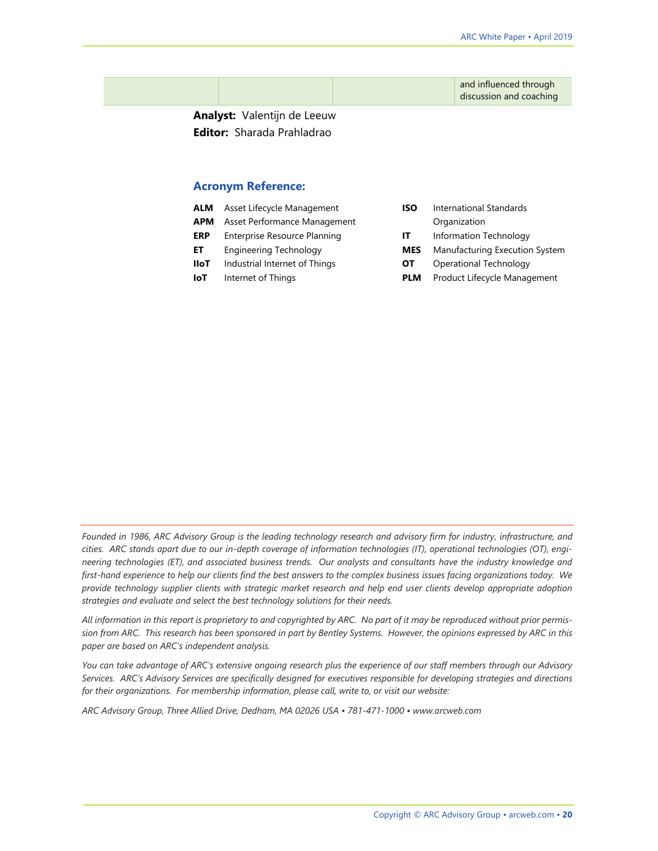and influenced through discussion and coaching

**Analyst:** Valentijn de Leeuw **Editor:** Sharada Prahladrao

#### **Acronym Reference:**

| ALM |  | Asset Lifecycle Management |
|-----|--|----------------------------|
|-----|--|----------------------------|

- **APM** Asset Performance Management
- **ERP** Enterprise Resource Planning
- **ET** Engineering Technology
- **IIoT** Industrial Internet of Things
- **IoT** Internet of Things
- **ISO** International Standards Organization
- **IT** Information Technology
- **MES** Manufacturing Execution System
- **OT** Operational Technology
- **PLM** Product Lifecycle Management

*Founded in 1986, ARC Advisory Group is the leading technology research and advisory firm for industry, infrastructure, and cities. ARC stands apart due to our in-depth coverage of information technologies (IT), operational technologies (OT), engineering technologies (ET), and associated business trends. Our analysts and consultants have the industry knowledge and first-hand experience to help our clients find the best answers to the complex business issues facing organizations today. We provide technology supplier clients with strategic market research and help end user clients develop appropriate adoption strategies and evaluate and select the best technology solutions for their needs.*

*All information in this report is proprietary to and copyrighted by ARC. No part of it may be reproduced without prior permission from ARC. This research has been sponsored in part by Bentley Systems. However, the opinions expressed by ARC in this paper are based on ARC's independent analysis.*

*You can take advantage of ARC's extensive ongoing research plus the experience of our staff members through our Advisory Services. ARC's Advisory Services are specifically designed for executives responsible for developing strategies and directions for their organizations. For membership information, please call, write to, or visit our website:*

*ARC Advisory Group, Three Allied Drive, Dedham, MA 02026 USA • 781-471-1000 • www.arcweb.com*